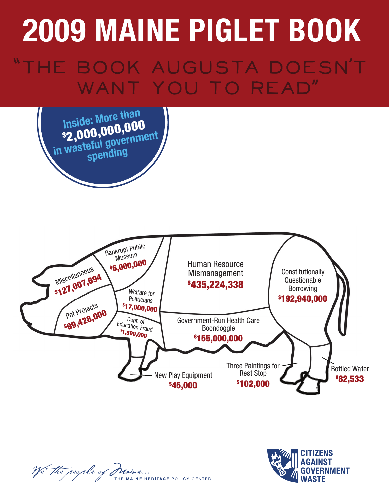# HE BOOK AUGUSTA DOESN'T WANT YOU TO READ"







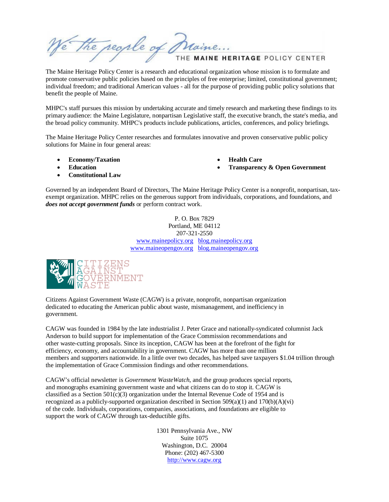the regile of Maine ... THE MAINE HERITAGE POLICY CENTER

The Maine Heritage Policy Center is a research and educational organization whose mission is to formulate and promote conservative public policies based on the principles of free enterprise; limited, constitutional government; individual freedom; and traditional American values - all for the purpose of providing public policy solutions that benefit the people of Maine.

MHPC's staff pursues this mission by undertaking accurate and timely research and marketing these findings to its primary audience: the Maine Legislature, nonpartisan Legislative staff, the executive branch, the state's media, and the broad policy community. MHPC's products include publications, articles, conferences, and policy briefings.

The Maine Heritage Policy Center researches and formulates innovative and proven conservative public policy solutions for Maine in four general areas:

- **Economy/Taxation**
- **Education**
- **Constitutional Law**

• **Health Care** 

• **Transparency & Open Government** 

Governed by an independent Board of Directors, The Maine Heritage Policy Center is a nonprofit, nonpartisan, taxexempt organization. MHPC relies on the generous support from individuals, corporations, and foundations, and *does not accept government funds* or perform contract work.

> P. O. Box 7829 Portland, ME 04112 207-321-2550 www.mainepolicy.org blog.mainepolicy.org www.maineopengov.org blog.maineopengov.org



Citizens Against Government Waste (CAGW) is a private, nonprofit, nonpartisan organization dedicated to educating the American public about waste, mismanagement, and inefficiency in government.

CAGW was founded in 1984 by the late industrialist J. Peter Grace and nationally-syndicated columnist Jack Anderson to build support for implementation of the Grace Commission recommendations and other waste-cutting proposals. Since its inception, CAGW has been at the forefront of the fight for efficiency, economy, and accountability in government. CAGW has more than one million members and supporters nationwide. In a little over two decades, has helped save taxpayers \$1.04 trillion through the implementation of Grace Commission findings and other recommendations.

CAGW's official newsletter is *Government WasteWatch*, and the group produces special reports, and monographs examining government waste and what citizens can do to stop it. CAGW is classified as a Section  $501(c)(3)$  organization under the Internal Revenue Code of 1954 and is recognized as a publicly-supported organization described in Section  $509(a)(1)$  and  $170(b)(A)(vi)$ of the code. Individuals, corporations, companies, associations, and foundations are eligible to support the work of CAGW through tax-deductible gifts.

> 1301 Pennsylvania Ave., NW Suite 1075 Washington, D.C. 20004 Phone: (202) 467-5300 http://www.cagw.org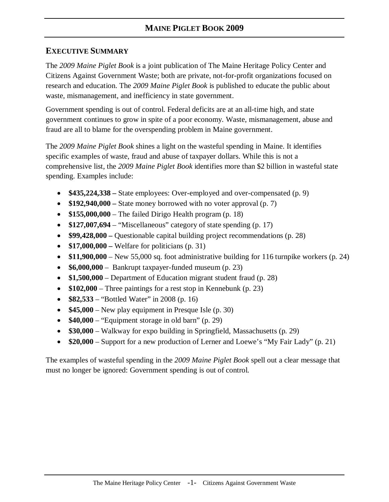#### **EXECUTIVE SUMMARY**

The *2009 Maine Piglet Book* is a joint publication of The Maine Heritage Policy Center and Citizens Against Government Waste; both are private, not-for-profit organizations focused on research and education. The *2009 Maine Piglet Book* is published to educate the public about waste, mismanagement, and inefficiency in state government.

Government spending is out of control. Federal deficits are at an all-time high, and state government continues to grow in spite of a poor economy. Waste, mismanagement, abuse and fraud are all to blame for the overspending problem in Maine government.

The *2009 Maine Piglet Book* shines a light on the wasteful spending in Maine. It identifies specific examples of waste, fraud and abuse of taxpayer dollars. While this is not a comprehensive list, the *2009 Maine Piglet Book* identifies more than \$2 billion in wasteful state spending. Examples include:

- **\$435,224,338** State employees: Over-employed and over-compensated (p. 9)
- **\$192,940,000** State money borrowed with no voter approval (p. 7)
- **\$155,000,000**  The failed Dirigo Health program (p. 18)
- \$127,007,694 "Miscellaneous" category of state spending (p. 17)
- **\$99,428,000** Questionable capital building project recommendations (p. 28)
- **\$17,000,000** Welfare for politicians (p. 31)
- \$11,900,000 New 55,000 sq. foot administrative building for 116 turnpike workers (p. 24)
- **\$6,000,000** Bankrupt taxpayer-funded museum (p. 23)
- **\$1,500,000** Department of Education migrant student fraud (p. 28)
- **\$102,000** Three paintings for a rest stop in Kennebunk (p. 23)
- **\$82,533** "Bottled Water" in 2008 (p. 16)
- **\$45,000** New play equipment in Presque Isle (p. 30)
- **\$40,000** "Equipment storage in old barn" (p. 29)
- **\$30,000** Walkway for expo building in Springfield, Massachusetts (p. 29)
- **\$20,000** Support for a new production of Lerner and Loewe's "My Fair Lady" (p. 21)

The examples of wasteful spending in the *2009 Maine Piglet Book* spell out a clear message that must no longer be ignored: Government spending is out of control.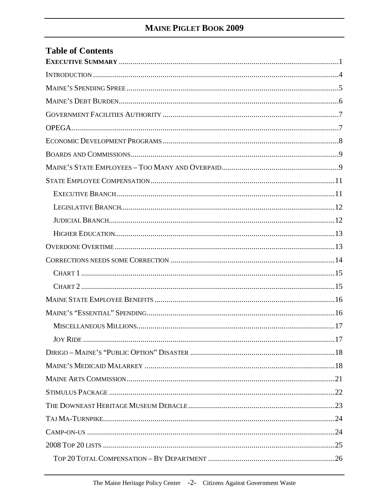| <b>Table of Contents</b> |
|--------------------------|
|                          |
|                          |
|                          |
|                          |
|                          |
|                          |
|                          |
|                          |
|                          |
|                          |
|                          |
|                          |
|                          |
|                          |
|                          |
|                          |
|                          |
|                          |
|                          |
|                          |
|                          |
|                          |
|                          |
|                          |
|                          |
|                          |
|                          |
|                          |
|                          |
|                          |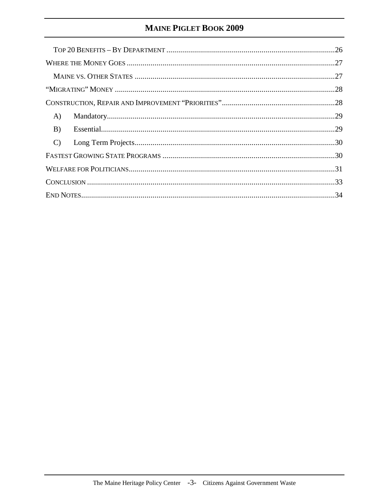| A)            |  |
|---------------|--|
| B)            |  |
| $\mathcal{C}$ |  |
|               |  |
|               |  |
|               |  |
|               |  |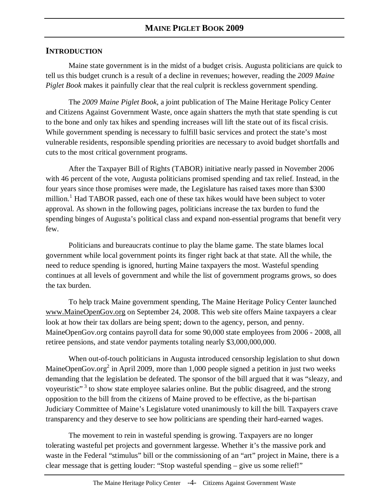#### **INTRODUCTION**

Maine state government is in the midst of a budget crisis. Augusta politicians are quick to tell us this budget crunch is a result of a decline in revenues; however, reading the *2009 Maine Piglet Book* makes it painfully clear that the real culprit is reckless government spending.

The *2009 Maine Piglet Book*, a joint publication of The Maine Heritage Policy Center and Citizens Against Government Waste, once again shatters the myth that state spending is cut to the bone and only tax hikes and spending increases will lift the state out of its fiscal crisis. While government spending is necessary to fulfill basic services and protect the state's most vulnerable residents, responsible spending priorities are necessary to avoid budget shortfalls and cuts to the most critical government programs.

After the Taxpayer Bill of Rights (TABOR) initiative nearly passed in November 2006 with 46 percent of the vote, Augusta politicians promised spending and tax relief. Instead, in the four years since those promises were made, the Legislature has raised taxes more than \$300 million.<sup>1</sup> Had TABOR passed, each one of these tax hikes would have been subject to voter approval. As shown in the following pages, politicians increase the tax burden to fund the spending binges of Augusta's political class and expand non-essential programs that benefit very few.

Politicians and bureaucrats continue to play the blame game. The state blames local government while local government points its finger right back at that state. All the while, the need to reduce spending is ignored, hurting Maine taxpayers the most. Wasteful spending continues at all levels of government and while the list of government programs grows, so does the tax burden.

To help track Maine government spending, The Maine Heritage Policy Center launched www.MaineOpenGov.org on September 24, 2008. This web site offers Maine taxpayers a clear look at how their tax dollars are being spent; down to the agency, person, and penny. MaineOpenGov.org contains payroll data for some 90,000 state employees from 2006 - 2008, all retiree pensions, and state vendor payments totaling nearly \$3,000,000,000.

When out-of-touch politicians in Augusta introduced censorship legislation to shut down MaineOpenGov.org<sup>2</sup> in April 2009, more than 1,000 people signed a petition in just two weeks demanding that the legislation be defeated. The sponsor of the bill argued that it was "sleazy, and voyeuristic"<sup>3</sup> to show state employee salaries online. But the public disagreed, and the strong opposition to the bill from the citizens of Maine proved to be effective, as the bi-partisan Judiciary Committee of Maine's Legislature voted unanimously to kill the bill. Taxpayers crave transparency and they deserve to see how politicians are spending their hard-earned wages.

The movement to rein in wasteful spending is growing. Taxpayers are no longer tolerating wasteful pet projects and government largesse. Whether it's the massive pork and waste in the Federal "stimulus" bill or the commissioning of an "art" project in Maine, there is a clear message that is getting louder: "Stop wasteful spending – give us some relief!"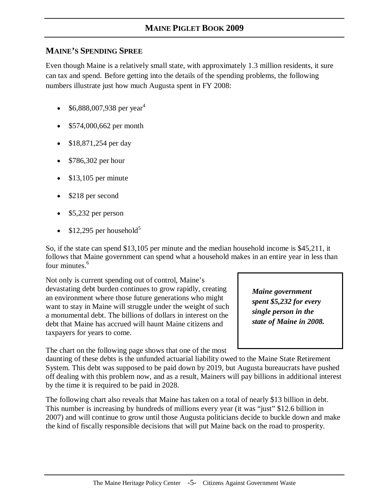#### **MAINE'S SPENDING SPREE**

Even though Maine is a relatively small state, with approximately 1.3 million residents, it sure can tax and spend. Before getting into the details of the spending problems, the following numbers illustrate just how much Augusta spent in FY 2008:

- $$6,888,007,938$  per year<sup>4</sup>
- \$574,000,662 per month
- \$18,871,254 per day
- \$786,302 per hour
- $\bullet$  \$13,105 per minute
- \$218 per second
- \$5,232 per person
- \$12,295 per household<sup>5</sup>

So, if the state can spend \$13,105 per minute and the median household income is \$45,211, it follows that Maine government can spend what a household makes in an entire year in less than four minutes.<sup>6</sup>

Not only is current spending out of control, Maine's devastating debt burden continues to grow rapidly, creating an environment where those future generations who might want to stay in Maine will struggle under the weight of such a monumental debt. The billions of dollars in interest on the debt that Maine has accrued will haunt Maine citizens and taxpayers for years to come.

The chart on the following page shows that one of the most

*Maine government spent \$5,232 for every single person in the state of Maine in 2008.* 

daunting of these debts is the unfunded actuarial liability owed to the Maine State Retirement System. This debt was supposed to be paid down by 2019, but Augusta bureaucrats have pushed off dealing with this problem now, and as a result, Mainers will pay billions in additional interest by the time it is required to be paid in 2028.

The following chart also reveals that Maine has taken on a total of nearly \$13 billion in debt. This number is increasing by hundreds of millions every year (it was "just" \$12.6 billion in 2007) and will continue to grow until those Augusta politicians decide to buckle down and make the kind of fiscally responsible decisions that will put Maine back on the road to prosperity.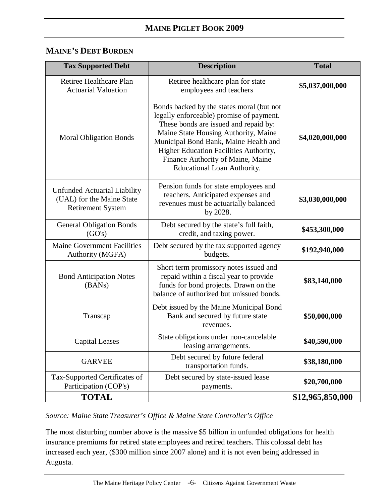#### **MAINE'S DEBT BURDEN**

| <b>Tax Supported Debt</b>                                                                    | <b>Description</b>                                                                                                                                                                                                                                                                                                            | <b>Total</b>     |
|----------------------------------------------------------------------------------------------|-------------------------------------------------------------------------------------------------------------------------------------------------------------------------------------------------------------------------------------------------------------------------------------------------------------------------------|------------------|
| Retiree Healthcare Plan<br><b>Actuarial Valuation</b>                                        | Retiree healthcare plan for state<br>employees and teachers                                                                                                                                                                                                                                                                   | \$5,037,000,000  |
| <b>Moral Obligation Bonds</b>                                                                | Bonds backed by the states moral (but not<br>legally enforceable) promise of payment.<br>These bonds are issued and repaid by:<br>Maine State Housing Authority, Maine<br>Municipal Bond Bank, Maine Health and<br>Higher Education Facilities Authority,<br>Finance Authority of Maine, Maine<br>Educational Loan Authority. | \$4,020,000,000  |
| <b>Unfunded Actuarial Liability</b><br>(UAL) for the Maine State<br><b>Retirement System</b> | Pension funds for state employees and<br>teachers. Anticipated expenses and<br>revenues must be actuarially balanced<br>by 2028.                                                                                                                                                                                              | \$3,030,000,000  |
| <b>General Obligation Bonds</b><br>(GO's)                                                    | Debt secured by the state's full faith,<br>credit, and taxing power.                                                                                                                                                                                                                                                          | \$453,300,000    |
| <b>Maine Government Facilities</b><br>Authority (MGFA)                                       | Debt secured by the tax supported agency<br>budgets.                                                                                                                                                                                                                                                                          | \$192,940,000    |
| <b>Bond Anticipation Notes</b><br>(BANs)                                                     | Short term promissory notes issued and<br>repaid within a fiscal year to provide<br>funds for bond projects. Drawn on the<br>balance of authorized but unissued bonds.                                                                                                                                                        | \$83,140,000     |
| Transcap                                                                                     | Debt issued by the Maine Municipal Bond<br>Bank and secured by future state<br>revenues.                                                                                                                                                                                                                                      | \$50,000,000     |
| <b>Capital Leases</b>                                                                        | State obligations under non-cancelable<br>leasing arrangements.                                                                                                                                                                                                                                                               | \$40,590,000     |
| <b>GARVEE</b>                                                                                | Debt secured by future federal<br>transportation funds.                                                                                                                                                                                                                                                                       | \$38,180,000     |
| Tax-Supported Certificates of<br>Participation (COP's)                                       | Debt secured by state-issued lease<br>payments.                                                                                                                                                                                                                                                                               | \$20,700,000     |
| <b>TOTAL</b>                                                                                 |                                                                                                                                                                                                                                                                                                                               | \$12,965,850,000 |

#### *Source: Maine State Treasurer's Office & Maine State Controller's Office*

The most disturbing number above is the massive \$5 billion in unfunded obligations for health insurance premiums for retired state employees and retired teachers. This colossal debt has increased each year, (\$300 million since 2007 alone) and it is not even being addressed in Augusta.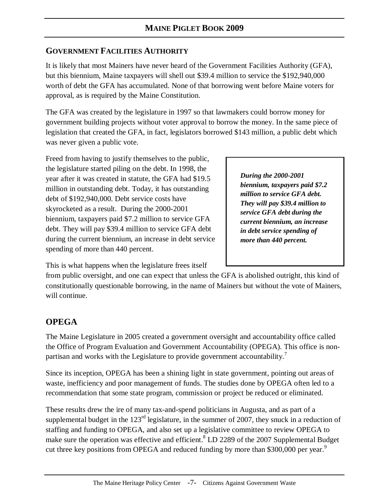# **GOVERNMENT FACILITIES AUTHORITY**

It is likely that most Mainers have never heard of the Government Facilities Authority (GFA), but this biennium, Maine taxpayers will shell out \$39.4 million to service the \$192,940,000 worth of debt the GFA has accumulated. None of that borrowing went before Maine voters for approval, as is required by the Maine Constitution.

The GFA was created by the legislature in 1997 so that lawmakers could borrow money for government building projects without voter approval to borrow the money. In the same piece of legislation that created the GFA, in fact, legislators borrowed \$143 million, a public debt which was never given a public vote.

Freed from having to justify themselves to the public, the legislature started piling on the debt. In 1998, the year after it was created in statute, the GFA had \$19.5 million in outstanding debt. Today, it has outstanding debt of \$192,940,000. Debt service costs have skyrocketed as a result. During the 2000-2001 biennium, taxpayers paid \$7.2 million to service GFA debt. They will pay \$39.4 million to service GFA debt during the current biennium, an increase in debt service spending of more than 440 percent.

*During the 2000-2001 biennium, taxpayers paid \$7.2 million to service GFA debt. They will pay \$39.4 million to service GFA debt during the current biennium, an increase in debt service spending of more than 440 percent.*

This is what happens when the legislature frees itself

from public oversight, and one can expect that unless the GFA is abolished outright, this kind of constitutionally questionable borrowing, in the name of Mainers but without the vote of Mainers, will continue.

# **OPEGA**

The Maine Legislature in 2005 created a government oversight and accountability office called the Office of Program Evaluation and Government Accountability (OPEGA). This office is nonpartisan and works with the Legislature to provide government accountability.<sup>7</sup>

Since its inception, OPEGA has been a shining light in state government, pointing out areas of waste, inefficiency and poor management of funds. The studies done by OPEGA often led to a recommendation that some state program, commission or project be reduced or eliminated.

These results drew the ire of many tax-and-spend politicians in Augusta, and as part of a supplemental budget in the  $123<sup>rd</sup>$  legislature, in the summer of 2007, they snuck in a reduction of staffing and funding to OPEGA, and also set up a legislative committee to review OPEGA to make sure the operation was effective and efficient.<sup>8</sup> LD 2289 of the 2007 Supplemental Budget cut three key positions from OPEGA and reduced funding by more than \$300,000 per year.<sup>9</sup>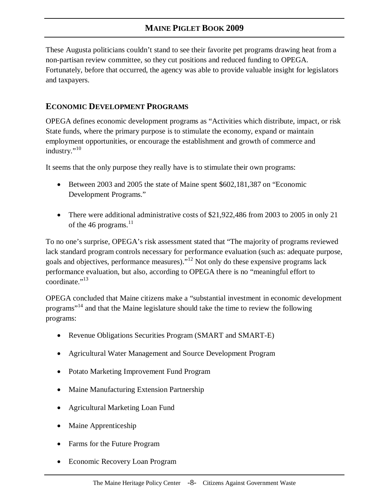These Augusta politicians couldn't stand to see their favorite pet programs drawing heat from a non-partisan review committee, so they cut positions and reduced funding to OPEGA. Fortunately, before that occurred, the agency was able to provide valuable insight for legislators and taxpayers.

#### **ECONOMIC DEVELOPMENT PROGRAMS**

OPEGA defines economic development programs as "Activities which distribute, impact, or risk State funds, where the primary purpose is to stimulate the economy, expand or maintain employment opportunities, or encourage the establishment and growth of commerce and industry."<sup>10</sup>

It seems that the only purpose they really have is to stimulate their own programs:

- Between 2003 and 2005 the state of Maine spent \$602,181,387 on "Economic Development Programs."
- There were additional administrative costs of \$21,922,486 from 2003 to 2005 in only 21 of the 46 programs. $^{11}$

To no one's surprise, OPEGA's risk assessment stated that "The majority of programs reviewed lack standard program controls necessary for performance evaluation (such as: adequate purpose, goals and objectives, performance measures)."<sup>12</sup> Not only do these expensive programs lack performance evaluation, but also, according to OPEGA there is no "meaningful effort to coordinate $^{13}$ 

OPEGA concluded that Maine citizens make a "substantial investment in economic development programs"<sup>14</sup> and that the Maine legislature should take the time to review the following programs:

- Revenue Obligations Securities Program (SMART and SMART-E)
- Agricultural Water Management and Source Development Program
- Potato Marketing Improvement Fund Program
- Maine Manufacturing Extension Partnership
- Agricultural Marketing Loan Fund
- Maine Apprenticeship
- Farms for the Future Program
- Economic Recovery Loan Program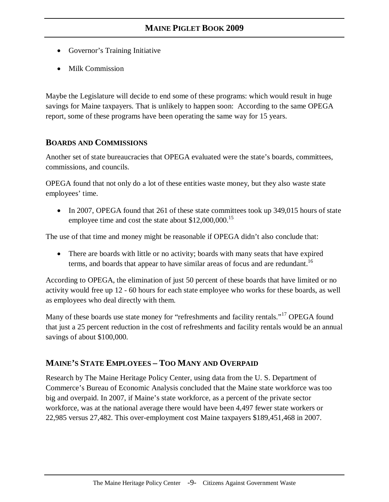- Governor's Training Initiative
- Milk Commission

Maybe the Legislature will decide to end some of these programs: which would result in huge savings for Maine taxpayers. That is unlikely to happen soon: According to the same OPEGA report, some of these programs have been operating the same way for 15 years.

#### **BOARDS AND COMMISSIONS**

Another set of state bureaucracies that OPEGA evaluated were the state's boards, committees, commissions, and councils.

OPEGA found that not only do a lot of these entities waste money, but they also waste state employees' time.

• In 2007, OPEGA found that 261 of these state committees took up 349,015 hours of state employee time and cost the state about \$12,000,000.<sup>15</sup>

The use of that time and money might be reasonable if OPEGA didn't also conclude that:

• There are boards with little or no activity; boards with many seats that have expired terms, and boards that appear to have similar areas of focus and are redundant.<sup>16</sup>

According to OPEGA, the elimination of just 50 percent of these boards that have limited or no activity would free up 12 - 60 hours for each state employee who works for these boards, as well as employees who deal directly with them.

Many of these boards use state money for "refreshments and facility rentals."<sup>17</sup> OPEGA found that just a 25 percent reduction in the cost of refreshments and facility rentals would be an annual savings of about \$100,000.

#### **MAINE'S STATE EMPLOYEES – TOO MANY AND OVERPAID**

Research by The Maine Heritage Policy Center, using data from the U. S. Department of Commerce's Bureau of Economic Analysis concluded that the Maine state workforce was too big and overpaid. In 2007, if Maine's state workforce, as a percent of the private sector workforce, was at the national average there would have been 4,497 fewer state workers or 22,985 versus 27,482. This over-employment cost Maine taxpayers \$189,451,468 in 2007.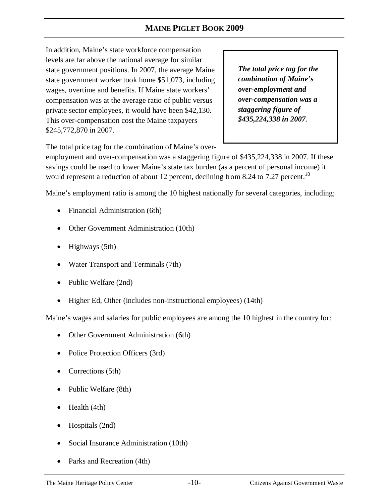In addition, Maine's state workforce compensation levels are far above the national average for similar state government positions. In 2007, the average Maine state government worker took home \$51,073, including wages, overtime and benefits. If Maine state workers' compensation was at the average ratio of public versus private sector employees, it would have been \$42,130. This over-compensation cost the Maine taxpayers \$245,772,870 in 2007.

*The total price tag for the combination of Maine's over-employment and over-compensation was a staggering figure of \$435,224,338 in 2007*.

The total price tag for the combination of Maine's over-

employment and over-compensation was a staggering figure of \$435,224,338 in 2007. If these savings could be used to lower Maine's state tax burden (as a percent of personal income) it would represent a reduction of about 12 percent, declining from 8.24 to 7.27 percent.<sup>18</sup>

Maine's employment ratio is among the 10 highest nationally for several categories, including;

- Financial Administration (6th)
- Other Government Administration (10th)
- Highways (5th)
- Water Transport and Terminals (7th)
- Public Welfare (2nd)
- Higher Ed, Other (includes non-instructional employees) (14th)

Maine's wages and salaries for public employees are among the 10 highest in the country for:

- Other Government Administration (6th)
- Police Protection Officers (3rd)
- Corrections (5th)
- Public Welfare (8th)
- Health (4th)
- Hospitals (2nd)
- Social Insurance Administration (10th)
- Parks and Recreation (4th)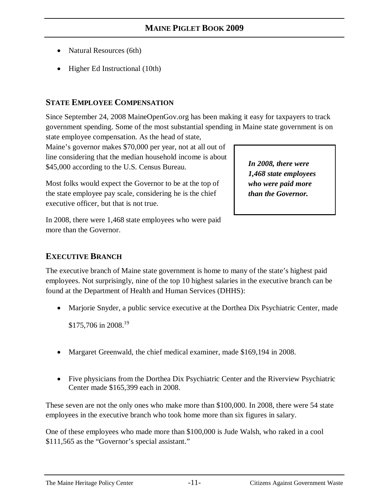- Natural Resources (6th)
- Higher Ed Instructional (10th)

# **STATE EMPLOYEE COMPENSATION**

Since September 24, 2008 MaineOpenGov.org has been making it easy for taxpayers to track government spending. Some of the most substantial spending in Maine state government is on state employee compensation. As the head of state,

Maine's governor makes \$70,000 per year, not at all out of line considering that the median household income is about \$45,000 according to the U.S. Census Bureau.

Most folks would expect the Governor to be at the top of the state employee pay scale, considering he is the chief executive officer, but that is not true.

In 2008, there were 1,468 state employees who were paid more than the Governor.

# **EXECUTIVE BRANCH**

The executive branch of Maine state government is home to many of the state's highest paid employees. Not surprisingly, nine of the top 10 highest salaries in the executive branch can be found at the Department of Health and Human Services (DHHS):

• Marjorie Snyder, a public service executive at the Dorthea Dix Psychiatric Center, made

\$175,706 in 2008.<sup>19</sup>

- Margaret Greenwald, the chief medical examiner, made \$169,194 in 2008.
- Five physicians from the Dorthea Dix Psychiatric Center and the Riverview Psychiatric Center made \$165,399 each in 2008.

These seven are not the only ones who make more than \$100,000. In 2008, there were 54 state employees in the executive branch who took home more than six figures in salary.

One of these employees who made more than \$100,000 is Jude Walsh, who raked in a cool \$111,565 as the "Governor's special assistant."

*In 2008, there were 1,468 state employees who were paid more than the Governor.*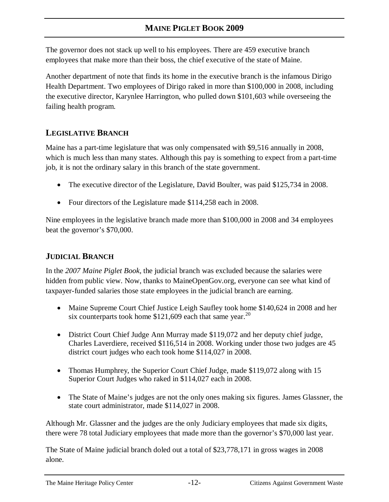The governor does not stack up well to his employees. There are 459 executive branch employees that make more than their boss, the chief executive of the state of Maine.

Another department of note that finds its home in the executive branch is the infamous Dirigo Health Department. Two employees of Dirigo raked in more than \$100,000 in 2008, including the executive director, Karynlee Harrington, who pulled down \$101,603 while overseeing the failing health program.

# **LEGISLATIVE BRANCH**

Maine has a part-time legislature that was only compensated with \$9,516 annually in 2008, which is much less than many states. Although this pay is something to expect from a part-time job, it is not the ordinary salary in this branch of the state government.

- The executive director of the Legislature, David Boulter, was paid \$125,734 in 2008.
- Four directors of the Legislature made \$114,258 each in 2008.

Nine employees in the legislative branch made more than \$100,000 in 2008 and 34 employees beat the governor's \$70,000.

# **JUDICIAL BRANCH**

In the *2007 Maine Piglet Book,* the judicial branch was excluded because the salaries were hidden from public view. Now, thanks to MaineOpenGov.org, everyone can see what kind of taxpayer-funded salaries those state employees in the judicial branch are earning.

- Maine Supreme Court Chief Justice Leigh Saufley took home \$140,624 in 2008 and her six counterparts took home  $$121,609$  each that same year.<sup>20</sup>
- District Court Chief Judge Ann Murray made \$119,072 and her deputy chief judge, Charles Laverdiere, received \$116,514 in 2008. Working under those two judges are 45 district court judges who each took home \$114,027 in 2008.
- Thomas Humphrey, the Superior Court Chief Judge, made \$119,072 along with 15 Superior Court Judges who raked in \$114,027 each in 2008.
- The State of Maine's judges are not the only ones making six figures. James Glassner, the state court administrator, made \$114,027 in 2008.

Although Mr. Glassner and the judges are the only Judiciary employees that made six digits, there were 78 total Judiciary employees that made more than the governor's \$70,000 last year.

The State of Maine judicial branch doled out a total of \$23,778,171 in gross wages in 2008 alone.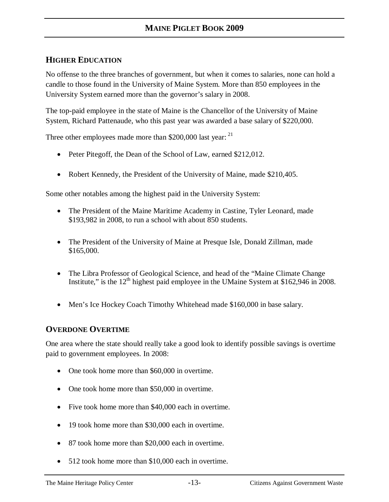# **HIGHER EDUCATION**

No offense to the three branches of government, but when it comes to salaries, none can hold a candle to those found in the University of Maine System. More than 850 employees in the University System earned more than the governor's salary in 2008.

The top-paid employee in the state of Maine is the Chancellor of the University of Maine System, Richard Pattenaude, who this past year was awarded a base salary of \$220,000.

Three other employees made more than \$200,000 last year:  $21$ 

- Peter Pitegoff, the Dean of the School of Law, earned \$212,012.
- Robert Kennedy, the President of the University of Maine, made \$210,405.

Some other notables among the highest paid in the University System:

- The President of the Maine Maritime Academy in Castine, Tyler Leonard, made \$193,982 in 2008, to run a school with about 850 students.
- The President of the University of Maine at Presque Isle, Donald Zillman, made \$165,000.
- The Libra Professor of Geological Science, and head of the "Maine Climate Change" Institute," is the  $12<sup>th</sup>$  highest paid employee in the UMaine System at \$162,946 in 2008.
- Men's Ice Hockey Coach Timothy Whitehead made \$160,000 in base salary.

#### **OVERDONE OVERTIME**

One area where the state should really take a good look to identify possible savings is overtime paid to government employees. In 2008:

- One took home more than \$60,000 in overtime.
- One took home more than \$50,000 in overtime.
- Five took home more than \$40,000 each in overtime.
- 19 took home more than \$30,000 each in overtime.
- 87 took home more than \$20,000 each in overtime.
- 512 took home more than \$10,000 each in overtime.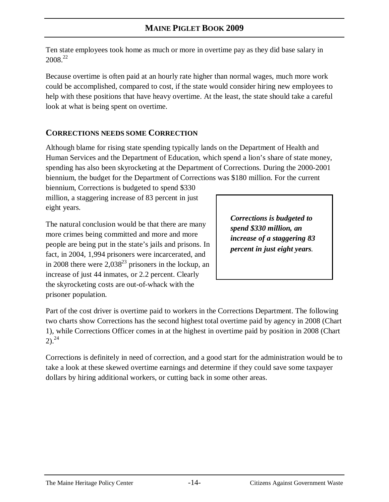Ten state employees took home as much or more in overtime pay as they did base salary in  $2008.<sup>22</sup>$ 

Because overtime is often paid at an hourly rate higher than normal wages, much more work could be accomplished, compared to cost, if the state would consider hiring new employees to help with these positions that have heavy overtime. At the least, the state should take a careful look at what is being spent on overtime.

# **CORRECTIONS NEEDS SOME CORRECTION**

Although blame for rising state spending typically lands on the Department of Health and Human Services and the Department of Education, which spend a lion's share of state money, spending has also been skyrocketing at the Department of Corrections. During the 2000-2001 biennium, the budget for the Department of Corrections was \$180 million. For the current

biennium, Corrections is budgeted to spend \$330 million, a staggering increase of 83 percent in just eight years.

The natural conclusion would be that there are many more crimes being committed and more and more people are being put in the state's jails and prisons. In fact, in 2004, 1,994 prisoners were incarcerated, and in 2008 there were  $2,038^{23}$  prisoners in the lockup, an increase of just 44 inmates, or 2.2 percent. Clearly the skyrocketing costs are out-of-whack with the prisoner population.

*Corrections is budgeted to spend \$330 million, an increase of a staggering 83 percent in just eight years.*

Part of the cost driver is overtime paid to workers in the Corrections Department. The following two charts show Corrections has the second highest total overtime paid by agency in 2008 (Chart 1), while Corrections Officer comes in at the highest in overtime paid by position in 2008 (Chart  $2)$ .<sup>24</sup>

Corrections is definitely in need of correction, and a good start for the administration would be to take a look at these skewed overtime earnings and determine if they could save some taxpayer dollars by hiring additional workers, or cutting back in some other areas.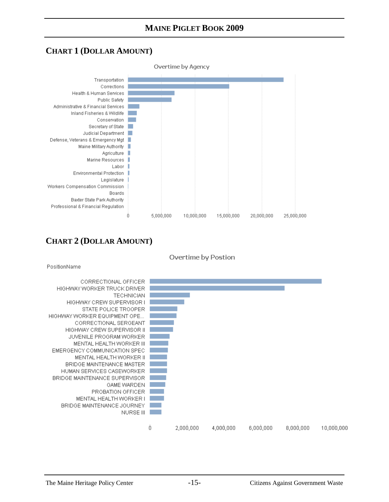# **CHART 1 (DOLLAR AMOUNT)**



# **CHART 2 (DOLLAR AMOUNT)**



PositionName

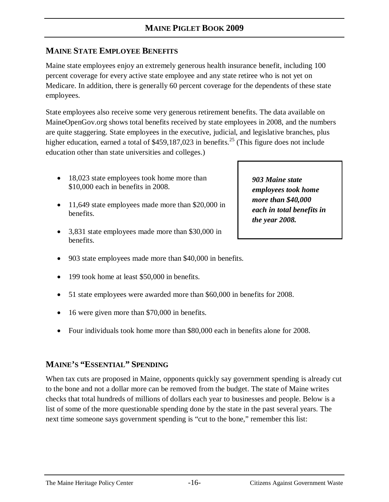# **MAINE STATE EMPLOYEE BENEFITS**

Maine state employees enjoy an extremely generous health insurance benefit, including 100 percent coverage for every active state employee and any state retiree who is not yet on Medicare. In addition, there is generally 60 percent coverage for the dependents of these state employees.

State employees also receive some very generous retirement benefits. The data available on MaineOpenGov.org shows total benefits received by state employees in 2008, and the numbers are quite staggering. State employees in the executive, judicial, and legislative branches, plus higher education, earned a total of  $$459,187,023$  in benefits.<sup>25</sup> (This figure does not include education other than state universities and colleges.)

- 18,023 state employees took home more than \$10,000 each in benefits in 2008.
- 11,649 state employees made more than \$20,000 in benefits.
- 3,831 state employees made more than \$30,000 in benefits.
- 903 state employees made more than \$40,000 in benefits.
- 199 took home at least \$50,000 in benefits.
- 51 state employees were awarded more than \$60,000 in benefits for 2008.
- 16 were given more than \$70,000 in benefits.
- Four individuals took home more than \$80,000 each in benefits alone for 2008.

#### **MAINE'S "ESSENTIAL" SPENDING**

When tax cuts are proposed in Maine, opponents quickly say government spending is already cut to the bone and not a dollar more can be removed from the budget. The state of Maine writes checks that total hundreds of millions of dollars each year to businesses and people. Below is a list of some of the more questionable spending done by the state in the past several years. The next time someone says government spending is "cut to the bone," remember this list:

*903 Maine state employees took home more than \$40,000 each in total benefits in the year 2008.*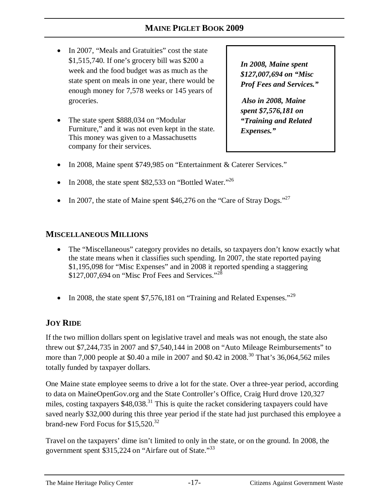- In 2007, "Meals and Gratuities" cost the state \$1,515,740. If one's grocery bill was \$200 a week and the food budget was as much as the state spent on meals in one year, there would be enough money for 7,578 weeks or 145 years of groceries.
- The state spent \$888,034 on "Modular" Furniture," and it was not even kept in the state. This money was given to a Massachusetts company for their services.

*In 2008, Maine spent \$127,007,694 on "Misc Prof Fees and Services."*

*Also in 2008, Maine spent \$7,576,181 on "Training and Related Expenses."* 

- In 2008, Maine spent \$749,985 on "Entertainment & Caterer Services."
- In 2008, the state spent \$82,533 on "Bottled Water."<sup>26</sup>
- In 2007, the state of Maine spent \$46,276 on the "Care of Stray Dogs."<sup>27</sup>

#### **MISCELLANEOUS MILLIONS**

- The "Miscellaneous" category provides no details, so taxpayers don't know exactly what the state means when it classifies such spending. In 2007, the state reported paying \$1,195,098 for "Misc Expenses" and in 2008 it reported spending a staggering  $$127,007,694$  on "Misc Prof Fees and Services."<sup>28</sup>
- In 2008, the state spent \$7,576,181 on "Training and Related Expenses."<sup>29</sup>

# **JOY RIDE**

If the two million dollars spent on legislative travel and meals was not enough, the state also threw out \$7,244,735 in 2007 and \$7,540,144 in 2008 on "Auto Mileage Reimbursements" to more than 7,000 people at \$0.40 a mile in 2007 and \$0.42 in 2008.<sup>30</sup> That's 36,064,562 miles totally funded by taxpayer dollars.

One Maine state employee seems to drive a lot for the state. Over a three-year period, according to data on MaineOpenGov.org and the State Controller's Office, Craig Hurd drove 120,327 miles, costing taxpayers \$48,038.<sup>31</sup> This is quite the racket considering taxpayers could have saved nearly \$32,000 during this three year period if the state had just purchased this employee a brand-new Ford Focus for \$15,520.<sup>32</sup>

Travel on the taxpayers' dime isn't limited to only in the state, or on the ground. In 2008, the government spent \$315,224 on "Airfare out of State."<sup>33</sup>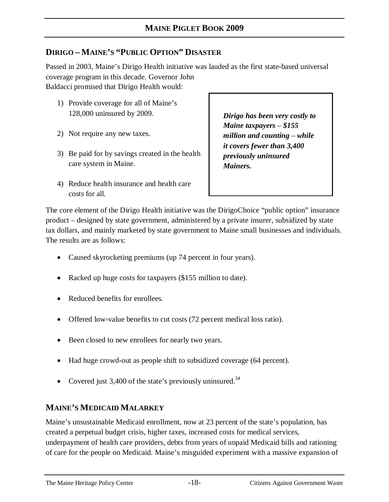# **DIRIGO – MAINE'S "PUBLIC OPTION" DISASTER**

Passed in 2003, Maine's Dirigo Health initiative was lauded as the first state-based universal coverage program in this decade. Governor John Baldacci promised that Dirigo Health would:

- 1) Provide coverage for all of Maine's 128,000 uninsured by 2009.
- 2) Not require any new taxes.
- 3) Be paid for by savings created in the health care system in Maine.
- 4) Reduce health insurance and health care costs for all.

*Dirigo has been very costly to Maine taxpayers* – *\$155 million and counting* – *while it covers fewer than 3,400 previously uninsured Mainers.* 

The core element of the Dirigo Health initiative was the DirigoChoice "public option" insurance product – designed by state government, administered by a private insurer, subsidized by state tax dollars, and mainly marketed by state government to Maine small businesses and individuals. The results are as follows:

- Caused skyrocketing premiums (up 74 percent in four years).
- Racked up huge costs for taxpayers (\$155 million to date).
- Reduced benefits for enrollees.
- Offered low-value benefits to cut costs (72 percent medical loss ratio).
- Been closed to new enrollees for nearly two years.
- Had huge crowd-out as people shift to subsidized coverage (64 percent).
- Covered just 3,400 of the state's previously uninsured.<sup>34</sup>

# **MAINE'S MEDICAID MALARKEY**

Maine's unsustainable Medicaid enrollment, now at 23 percent of the state's population, has created a perpetual budget crisis, higher taxes, increased costs for medical services, underpayment of health care providers, debts from years of unpaid Medicaid bills and rationing of care for the people on Medicaid. Maine's misguided experiment with a massive expansion of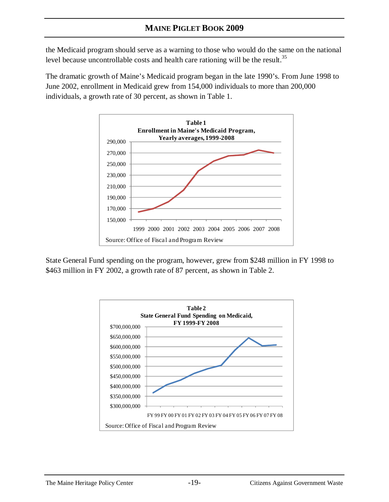the Medicaid program should serve as a warning to those who would do the same on the national level because uncontrollable costs and health care rationing will be the result.<sup>35</sup>

The dramatic growth of Maine's Medicaid program began in the late 1990's. From June 1998 to June 2002, enrollment in Medicaid grew from 154,000 individuals to more than 200,000 individuals, a growth rate of 30 percent, as shown in Table 1.



State General Fund spending on the program, however, grew from \$248 million in FY 1998 to \$463 million in FY 2002, a growth rate of 87 percent, as shown in Table 2.

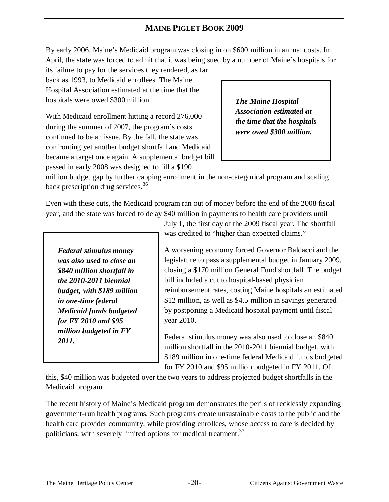By early 2006, Maine's Medicaid program was closing in on \$600 million in annual costs. In April, the state was forced to admit that it was being sued by a number of Maine's hospitals for

its failure to pay for the services they rendered, as far back as 1993, to Medicaid enrollees. The Maine Hospital Association estimated at the time that the hospitals were owed \$300 million.

With Medicaid enrollment hitting a record 276,000 during the summer of 2007, the program's costs continued to be an issue. By the fall, the state was confronting yet another budget shortfall and Medicaid became a target once again. A supplemental budget bill passed in early 2008 was designed to fill a \$190

*The Maine Hospital Association estimated at the time that the hospitals were owed \$300 million.*

million budget gap by further capping enrollment in the non-categorical program and scaling back prescription drug services.<sup>36</sup>

Even with these cuts, the Medicaid program ran out of money before the end of the 2008 fiscal year, and the state was forced to delay \$40 million in payments to health care providers until

*Federal stimulus money was also used to close an \$840 million shortfall in the 2010-2011 biennial budget, with \$189 million in one-time federal Medicaid funds budgeted for FY 2010 and \$95 million budgeted in FY 2011.* 

July 1, the first day of the 2009 fiscal year. The shortfall was credited to "higher than expected claims."

A worsening economy forced Governor Baldacci and the legislature to pass a supplemental budget in January 2009, closing a \$170 million General Fund shortfall. The budget bill included a cut to hospital-based physician reimbursement rates, costing Maine hospitals an estimated \$12 million, as well as \$4.5 million in savings generated by postponing a Medicaid hospital payment until fiscal year 2010.

Federal stimulus money was also used to close an \$840 million shortfall in the 2010-2011 biennial budget, with \$189 million in one-time federal Medicaid funds budgeted for FY 2010 and \$95 million budgeted in FY 2011. Of

this, \$40 million was budgeted over the two years to address projected budget shortfalls in the Medicaid program.

The recent history of Maine's Medicaid program demonstrates the perils of recklessly expanding government-run health programs. Such programs create unsustainable costs to the public and the health care provider community, while providing enrollees, whose access to care is decided by politicians, with severely limited options for medical treatment.<sup>37</sup>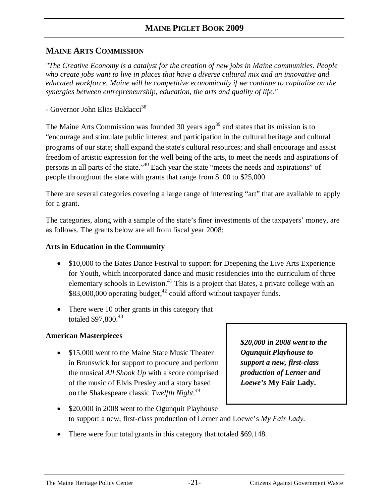#### **MAINE ARTS COMMISSION**

*"The Creative Economy is a catalyst for the creation of new jobs in Maine communities. People who create jobs want to live in places that have a diverse cultural mix and an innovative and educated workforce. Maine will be competitive economically if we continue to capitalize on the synergies between entrepreneurship, education, the arts and quality of life."* 

- Governor John Elias Baldacci<sup>38</sup>

The Maine Arts Commission was founded 30 years  $a\alpha^{39}$  and states that its mission is to "encourage and stimulate public interest and participation in the cultural heritage and cultural programs of our state; shall expand the state's cultural resources; and shall encourage and assist freedom of artistic expression for the well being of the arts, to meet the needs and aspirations of persons in all parts of the state."<sup>40</sup> Each year the state "meets the needs and aspirations" of people throughout the state with grants that range from \$100 to \$25,000.

There are several categories covering a large range of interesting "art" that are available to apply for a grant.

The categories, along with a sample of the state's finer investments of the taxpayers' money, are as follows. The grants below are all from fiscal year 2008:

#### **Arts in Education in the Community**

- \$10,000 to the Bates Dance Festival to support for Deepening the Live Arts Experience for Youth, which incorporated dance and music residencies into the curriculum of three elementary schools in Lewiston.<sup>41</sup> This is a project that Bates, a private college with an  $$83,000,000$  operating budget,<sup>42</sup> could afford without taxpayer funds.
- There were 10 other grants in this category that totaled  $$97,800.<sup>43</sup>$

#### **American Masterpieces**

• \$15,000 went to the Maine State Music Theater in Brunswick for support to produce and perform the musical *All Shook Up* with a score comprised of the music of Elvis Presley and a story based on the Shakespeare classic *Twelfth Night.<sup>44</sup>*

*\$20,000 in 2008 went to the Ogunquit Playhouse to support a new, first-class production of Lerner and Loewe's* **My Fair Lady.**

- \$20,000 in 2008 went to the Ogunquit Playhouse to support a new, first-class production of Lerner and Loewe's *My Fair Lady.*
- There were four total grants in this category that totaled \$69,148.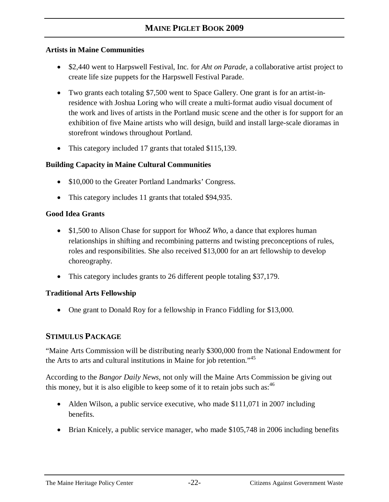#### **Artists in Maine Communities**

- \$2,440 went to Harpswell Festival, Inc. for *Aht on Parade*, a collaborative artist project to create life size puppets for the Harpswell Festival Parade.
- Two grants each totaling \$7,500 went to Space Gallery. One grant is for an artist-inresidence with Joshua Loring who will create a multi-format audio visual document of the work and lives of artists in the Portland music scene and the other is for support for an exhibition of five Maine artists who will design, build and install large-scale dioramas in storefront windows throughout Portland.
- This category included 17 grants that totaled \$115,139.

#### **Building Capacity in Maine Cultural Communities**

- \$10,000 to the Greater Portland Landmarks' Congress.
- This category includes 11 grants that totaled \$94,935.

#### **Good Idea Grants**

- \$1,500 to Alison Chase for support for *WhooZ Who*, a dance that explores human relationships in shifting and recombining patterns and twisting preconceptions of rules, roles and responsibilities. She also received \$13,000 for an art fellowship to develop choreography.
- This category includes grants to 26 different people totaling \$37,179.

#### **Traditional Arts Fellowship**

• One grant to Donald Roy for a fellowship in Franco Fiddling for \$13,000.

#### **STIMULUS PACKAGE**

"Maine Arts Commission will be distributing nearly \$300,000 from the National Endowment for the Arts to arts and cultural institutions in Maine for job retention."<sup>45</sup>

According to the *Bangor Daily News,* not only will the Maine Arts Commission be giving out this money, but it is also eligible to keep some of it to retain jobs such as:  $46$ 

- Alden Wilson, a public service executive, who made \$111,071 in 2007 including benefits.
- Brian Knicely, a public service manager, who made \$105,748 in 2006 including benefits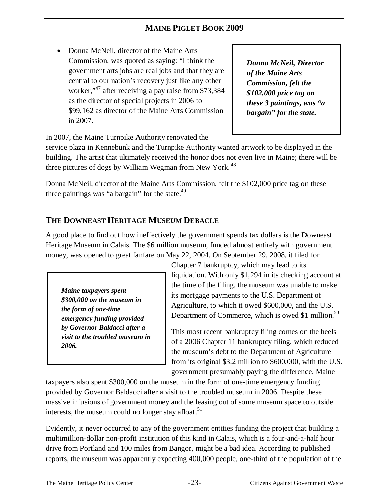• Donna McNeil, director of the Maine Arts Commission, was quoted as saying: "I think the government arts jobs are real jobs and that they are central to our nation's recovery just like any other worker,<sup>47</sup> after receiving a pay raise from \$73,384 as the director of special projects in 2006 to \$99,162 as director of the Maine Arts Commission in 2007.

*Donna McNeil, Director of the Maine Arts Commission, felt the \$102,000 price tag on these 3 paintings, was "a bargain" for the state.* 

In 2007, the Maine Turnpike Authority renovated the

service plaza in Kennebunk and the Turnpike Authority wanted artwork to be displayed in the building. The artist that ultimately received the honor does not even live in Maine; there will be three pictures of dogs by William Wegman from New York.<sup>48</sup>

Donna McNeil, director of the Maine Arts Commission, felt the \$102,000 price tag on these three paintings was "a bargain" for the state. $49$ 

# **THE DOWNEAST HERITAGE MUSEUM DEBACLE**

A good place to find out how ineffectively the government spends tax dollars is the Downeast Heritage Museum in Calais. The \$6 million museum, funded almost entirely with government money, was opened to great fanfare on May 22, 2004. On September 29, 2008, it filed for

*Maine taxpayers spent \$300,000 on the museum in the form of one-time emergency funding provided by Governor Baldacci after a visit to the troubled museum in 2006.*

Chapter 7 bankruptcy, which may lead to its liquidation. With only \$1,294 in its checking account at the time of the filing, the museum was unable to make its mortgage payments to the U.S. Department of Agriculture, to which it owed \$600,000, and the U.S. Department of Commerce, which is owed \$1 million.<sup>50</sup>

This most recent bankruptcy filing comes on the heels of a 2006 Chapter 11 bankruptcy filing, which reduced the museum's debt to the Department of Agriculture from its original \$3.2 million to \$600,000, with the U.S. government presumably paying the difference. Maine

taxpayers also spent \$300,000 on the museum in the form of one-time emergency funding provided by Governor Baldacci after a visit to the troubled museum in 2006. Despite these massive infusions of government money and the leasing out of some museum space to outside interests, the museum could no longer stay afloat.<sup>51</sup>

Evidently, it never occurred to any of the government entities funding the project that building a multimillion-dollar non-profit institution of this kind in Calais, which is a four-and-a-half hour drive from Portland and 100 miles from Bangor, might be a bad idea. According to published reports, the museum was apparently expecting 400,000 people, one-third of the population of the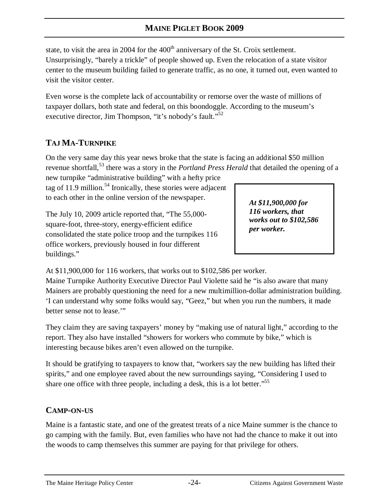state, to visit the area in 2004 for the  $400<sup>th</sup>$  anniversary of the St. Croix settlement. Unsurprisingly, "barely a trickle" of people showed up. Even the relocation of a state visitor center to the museum building failed to generate traffic, as no one, it turned out, even wanted to visit the visitor center.

Even worse is the complete lack of accountability or remorse over the waste of millions of taxpayer dollars, both state and federal, on this boondoggle. According to the museum's executive director, Jim Thompson, "it's nobody's fault."<sup>52</sup>

# **TAJ MA-TURNPIKE**

On the very same day this year news broke that the state is facing an additional \$50 million revenue shortfall,<sup>53</sup> there was a story in the *Portland Press Herald* that detailed the opening of a

new turnpike "administrative building" with a hefty price tag of 11.9 million.<sup>54</sup> Ironically, these stories were adjacent to each other in the online version of the newspaper.

The July 10, 2009 article reported that, "The 55,000 square-foot, three-story, energy-efficient edifice consolidated the state police troop and the turnpikes 116 office workers, previously housed in four different buildings."

*At \$11,900,000 for 116 workers, that works out to \$102,586 per worker.* 

At \$11,900,000 for 116 workers, that works out to \$102,586 per worker.

Maine Turnpike Authority Executive Director Paul Violette said he "is also aware that many Mainers are probably questioning the need for a new multimillion-dollar administration building. 'I can understand why some folks would say, "Geez," but when you run the numbers, it made better sense not to lease."

They claim they are saving taxpayers' money by "making use of natural light," according to the report. They also have installed "showers for workers who commute by bike," which is interesting because bikes aren't even allowed on the turnpike.

It should be gratifying to taxpayers to know that, "workers say the new building has lifted their spirits," and one employee raved about the new surroundings saying, "Considering I used to share one office with three people, including a desk, this is a lot better."<sup>55</sup>

# **CAMP-ON-US**

Maine is a fantastic state, and one of the greatest treats of a nice Maine summer is the chance to go camping with the family. But, even families who have not had the chance to make it out into the woods to camp themselves this summer are paying for that privilege for others.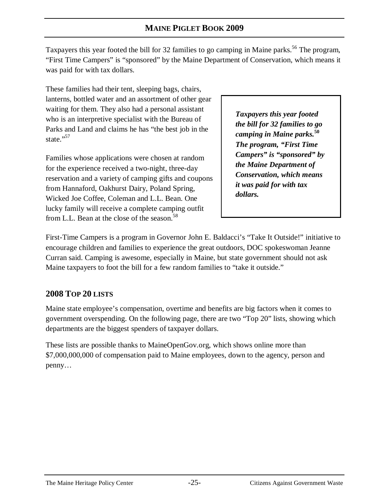Taxpayers this year footed the bill for 32 families to go camping in Maine parks.<sup>56</sup> The program, "First Time Campers" is "sponsored" by the Maine Department of Conservation, which means it was paid for with tax dollars.

These families had their tent, sleeping bags, chairs, lanterns, bottled water and an assortment of other gear waiting for them. They also had a personal assistant who is an interpretive specialist with the Bureau of Parks and Land and claims he has "the best job in the state."<sup>57</sup>

Families whose applications were chosen at random for the experience received a two-night, three-day reservation and a variety of camping gifts and coupons from Hannaford, Oakhurst Dairy, Poland Spring, Wicked Joe Coffee, Coleman and L.L. Bean. One lucky family will receive a complete camping outfit from L.L. Bean at the close of the season.<sup>58</sup>

*Taxpayers this year footed the bill for 32 families to go camping in Maine parks.***<sup>50</sup>** *The program, "First Time Campers" is "sponsored" by the Maine Department of Conservation, which means it was paid for with tax dollars.* 

First-Time Campers is a program in Governor John E. Baldacci's "Take It Outside!" initiative to encourage children and families to experience the great outdoors, DOC spokeswoman Jeanne Curran said. Camping is awesome, especially in Maine, but state government should not ask Maine taxpayers to foot the bill for a few random families to "take it outside."

# **2008 TOP 20 LISTS**

Maine state employee's compensation, overtime and benefits are big factors when it comes to government overspending. On the following page, there are two "Top 20" lists, showing which departments are the biggest spenders of taxpayer dollars.

These lists are possible thanks to MaineOpenGov.org, which shows online more than \$7,000,000,000 of compensation paid to Maine employees, down to the agency, person and penny…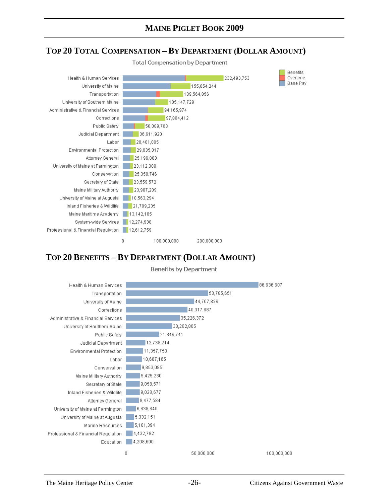#### **TOP 20 TOTAL COMPENSATION – BY DEPARTMENT (DOLLAR AMOUNT)**



# **TOP 20 BENEFITS – BY DEPARTMENT (DOLLAR AMOUNT)**



**Benefits by Department**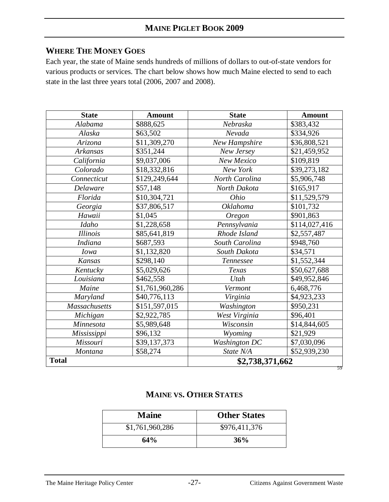# **WHERE THE MONEY GOES**

Each year, the state of Maine sends hundreds of millions of dollars to out-of-state vendors for various products or services. The chart below shows how much Maine elected to send to each state in the last three years total (2006, 2007 and 2008).

| <b>State</b>                    | <b>Amount</b>   | <b>State</b>         | <b>Amount</b> |
|---------------------------------|-----------------|----------------------|---------------|
| Alabama                         | \$888,625       | Nebraska             | \$383,432     |
| Alaska                          | \$63,502        | Nevada               | \$334,926     |
| Arizona                         | \$11,309,270    | New Hampshire        | \$36,808,521  |
| Arkansas                        | \$351,244       | New Jersey           | \$21,459,952  |
| California                      | \$9,037,006     | New Mexico           | \$109,819     |
| Colorado                        | \$18,332,816    | New York             | \$39,273,182  |
| Connecticut                     | \$129,249,644   | North Carolina       | \$5,906,748   |
| Delaware                        | \$57,148        | North Dakota         | \$165,917     |
| Florida                         | \$10,304,721    | Ohio                 | \$11,529,579  |
| Georgia                         | \$37,806,517    | <b>Oklahoma</b>      | \$101,732     |
| Hawaii                          | \$1,045         | <b>Oregon</b>        | \$901,863     |
| Idaho                           | \$1,228,658     | Pennsylvania         | \$114,027,416 |
| <b>Illinois</b>                 | \$85,641,819    | Rhode Island         | \$2,557,487   |
| <b>Indiana</b>                  | \$687,593       | South Carolina       | \$948,760     |
| <i>Iowa</i>                     | \$1,132,820     | South Dakota         | \$34,571      |
| Kansas                          | \$298,140       | Tennessee            | \$1,552,344   |
| Kentucky                        | \$5,029,626     | Texas                | \$50,627,688  |
| Louisiana                       | \$462,558       | Utah                 | \$49,952,846  |
| Maine                           | \$1,761,960,286 | Vermont              | 6,468,776     |
| Maryland                        | \$40,776,113    | Virginia             | \$4,923,233   |
| <b>Massachusetts</b>            | \$151,597,015   | Washington           | \$950,231     |
| Michigan                        | \$2,922,785     | West Virginia        | \$96,401      |
| Minnesota                       | \$5,989,648     | Wisconsin            | \$14,844,605  |
| Mississippi                     | \$96,132        | Wyoming              | \$21,929      |
| Missouri                        | \$39,137,373    | <b>Washington DC</b> | \$7,030,096   |
| Montana                         | \$58,274        | State N/A            | \$52,939,230  |
| <b>Total</b><br>\$2,738,371,662 |                 | 59                   |               |

#### **MAINE VS. OTHER STATES**

| <b>Maine</b>    | <b>Other States</b> |
|-----------------|---------------------|
| \$1,761,960,286 | \$976,411,376       |
| 64%             | 36%                 |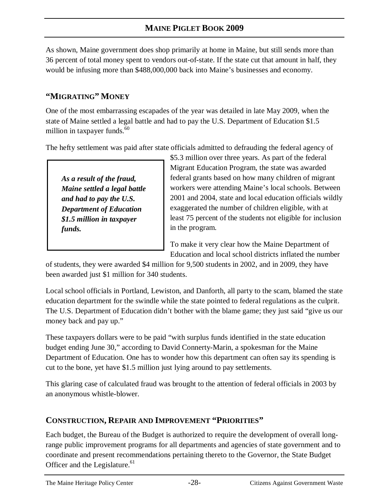As shown, Maine government does shop primarily at home in Maine, but still sends more than 36 percent of total money spent to vendors out-of-state. If the state cut that amount in half, they would be infusing more than \$488,000,000 back into Maine's businesses and economy.

# **"MIGRATING" MONEY**

One of the most embarrassing escapades of the year was detailed in late May 2009, when the state of Maine settled a legal battle and had to pay the U.S. Department of Education \$1.5 million in taxpayer funds.<sup>60</sup>

The hefty settlement was paid after state officials admitted to defrauding the federal agency of

*As a result of the fraud, Maine settled a legal battle and had to pay the U.S. Department of Education \$1.5 million in taxpayer funds.*

\$5.3 million over three years. As part of the federal Migrant Education Program, the state was awarded federal grants based on how many children of migrant workers were attending Maine's local schools. Between 2001 and 2004, state and local education officials wildly exaggerated the number of children eligible, with at least 75 percent of the students not eligible for inclusion in the program.

To make it very clear how the Maine Department of Education and local school districts inflated the number

of students, they were awarded \$4 million for 9,500 students in 2002, and in 2009, they have been awarded just \$1 million for 340 students.

Local school officials in Portland, Lewiston, and Danforth, all party to the scam, blamed the state education department for the swindle while the state pointed to federal regulations as the culprit. The U.S. Department of Education didn't bother with the blame game; they just said "give us our money back and pay up."

These taxpayers dollars were to be paid "with surplus funds identified in the state education budget ending June 30," according to David Connerty-Marin, a spokesman for the Maine Department of Education. One has to wonder how this department can often say its spending is cut to the bone, yet have \$1.5 million just lying around to pay settlements.

This glaring case of calculated fraud was brought to the attention of federal officials in 2003 by an anonymous whistle-blower.

# **CONSTRUCTION, REPAIR AND IMPROVEMENT "PRIORITIES"**

Each budget, the Bureau of the Budget is authorized to require the development of overall longrange public improvement programs for all departments and agencies of state government and to coordinate and present recommendations pertaining thereto to the Governor, the State Budget Officer and the Legislature.<sup>61</sup>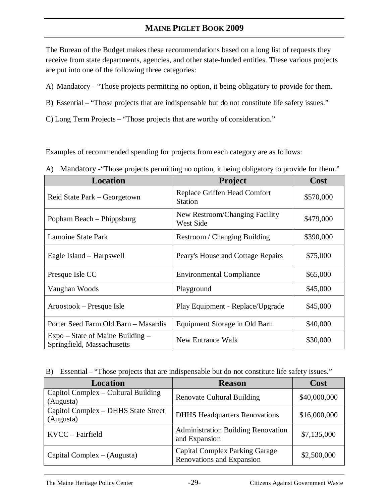The Bureau of the Budget makes these recommendations based on a long list of requests they receive from state departments, agencies, and other state-funded entities. These various projects are put into one of the following three categories:

- A) Mandatory "Those projects permitting no option, it being obligatory to provide for them.
- B) Essential "Those projects that are indispensable but do not constitute life safety issues."
- C) Long Term Projects "Those projects that are worthy of consideration."

Examples of recommended spending for projects from each category are as follows:

| Location                                                         | Project                                            | Cost      |
|------------------------------------------------------------------|----------------------------------------------------|-----------|
| Reid State Park – Georgetown                                     | Replace Griffen Head Comfort<br><b>Station</b>     | \$570,000 |
| Popham Beach – Phippsburg                                        | New Restroom/Changing Facility<br><b>West Side</b> | \$479,000 |
| <b>Lamoine State Park</b>                                        | Restroom / Changing Building                       | \$390,000 |
| Eagle Island – Harpswell                                         | Peary's House and Cottage Repairs                  | \$75,000  |
| Presque Isle CC                                                  | <b>Environmental Compliance</b>                    | \$65,000  |
| Vaughan Woods                                                    | Playground                                         | \$45,000  |
| Aroostook – Presque Isle                                         | Play Equipment - Replace/Upgrade                   | \$45,000  |
| Porter Seed Farm Old Barn - Masardis                             | Equipment Storage in Old Barn                      | \$40,000  |
| $Expo - State of Maine Building -$<br>Springfield, Massachusetts | New Entrance Walk                                  | \$30,000  |

A) Mandatory - "Those projects permitting no option, it being obligatory to provide for them."

B) Essential – "Those projects that are indispensable but do not constitute life safety issues."

| Location                                         | <b>Reason</b>                                                      | Cost         |
|--------------------------------------------------|--------------------------------------------------------------------|--------------|
| Capitol Complex – Cultural Building<br>(Augusta) | <b>Renovate Cultural Building</b>                                  | \$40,000,000 |
| Capitol Complex - DHHS State Street<br>(Augusta) | <b>DHHS Headquarters Renovations</b>                               | \$16,000,000 |
| KVCC – Fairfield                                 | <b>Administration Building Renovation</b><br>and Expansion         | \$7,135,000  |
| Capital Complex $-$ (Augusta)                    | <b>Capital Complex Parking Garage</b><br>Renovations and Expansion | \$2,500,000  |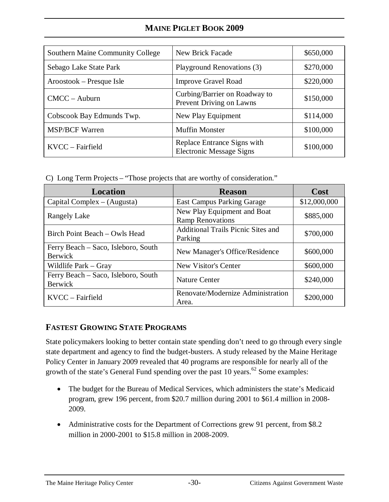| <b>Southern Maine Community College</b> | New Brick Facade                                               | \$650,000 |
|-----------------------------------------|----------------------------------------------------------------|-----------|
| Sebago Lake State Park                  | Playground Renovations (3)                                     | \$270,000 |
| Aroostook – Presque Isle                | <b>Improve Gravel Road</b>                                     | \$220,000 |
| $CMCC - Auburn$                         | Curbing/Barrier on Roadway to<br>Prevent Driving on Lawns      | \$150,000 |
| Cobscook Bay Edmunds Twp.               | New Play Equipment                                             | \$114,000 |
| <b>MSP/BCF Warren</b>                   | <b>Muffin Monster</b>                                          | \$100,000 |
| KVCC - Fairfield                        | Replace Entrance Signs with<br><b>Electronic Message Signs</b> | \$100,000 |

C) Long Term Projects – "Those projects that are worthy of consideration."

| Location                                              | <b>Reason</b>                                          | Cost         |
|-------------------------------------------------------|--------------------------------------------------------|--------------|
| $Capital Complex - (Augusta)$                         | <b>East Campus Parking Garage</b>                      | \$12,000,000 |
| <b>Rangely Lake</b>                                   | New Play Equipment and Boat<br><b>Ramp Renovations</b> | \$885,000    |
| Birch Point Beach - Owls Head                         | Additional Trails Picnic Sites and<br>Parking          | \$700,000    |
| Ferry Beach – Saco, Isleboro, South<br><b>Berwick</b> | New Manager's Office/Residence                         | \$600,000    |
| Wildlife Park – Gray                                  | <b>New Visitor's Center</b>                            | \$600,000    |
| Ferry Beach – Saco, Isleboro, South<br><b>Berwick</b> | <b>Nature Center</b>                                   | \$240,000    |
| KVCC - Fairfield                                      | Renovate/Modernize Administration<br>Area.             | \$200,000    |

# **FASTEST GROWING STATE PROGRAMS**

State policymakers looking to better contain state spending don't need to go through every single state department and agency to find the budget-busters. A study released by the Maine Heritage Policy Center in January 2009 revealed that 40 programs are responsible for nearly all of the growth of the state's General Fund spending over the past 10 years.<sup>62</sup> Some examples:

- The budget for the Bureau of Medical Services, which administers the state's Medicaid program, grew 196 percent, from \$20.7 million during 2001 to \$61.4 million in 2008- 2009.
- Administrative costs for the Department of Corrections grew 91 percent, from \$8.2 million in 2000-2001 to \$15.8 million in 2008-2009.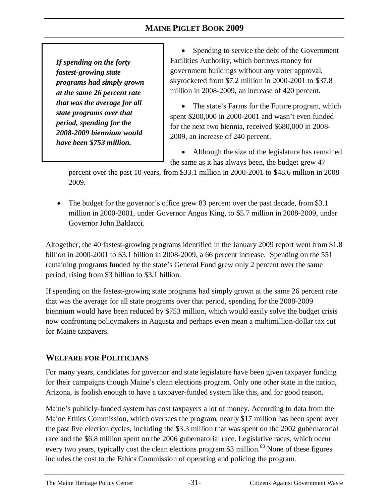*If spending on the forty fastest-growing state programs had simply grown at the same 26 percent rate that was the average for all state programs over that period, spending for the 2008-2009 biennium would have been \$753 million.*

• Spending to service the debt of the Government Facilities Authority, which borrows money for government buildings without any voter approval, skyrocketed from \$7.2 million in 2000-2001 to \$37.8 million in 2008-2009, an increase of 420 percent.

• The state's Farms for the Future program, which spent \$200,000 in 2000-2001 and wasn't even funded for the next two biennia, received \$680,000 in 2008- 2009, an increase of 240 percent.

• Although the size of the legislature has remained the same as it has always been, the budget grew 47

percent over the past 10 years, from \$33.1 million in 2000-2001 to \$48.6 million in 2008- 2009.

The budget for the governor's office grew 83 percent over the past decade, from \$3.1 million in 2000-2001, under Governor Angus King, to \$5.7 million in 2008-2009, under Governor John Baldacci.

Altogether, the 40 fastest-growing programs identified in the January 2009 report went from \$1.8 billion in 2000-2001 to \$3.1 billion in 2008-2009, a 66 percent increase. Spending on the 551 remaining programs funded by the state's General Fund grew only 2 percent over the same period, rising from \$3 billion to \$3.1 billion.

If spending on the fastest-growing state programs had simply grown at the same 26 percent rate that was the average for all state programs over that period, spending for the 2008-2009 biennium would have been reduced by \$753 million*,* which would easily solve the budget crisis now confronting policymakers in Augusta and perhaps even mean a multimillion-dollar tax cut for Maine taxpayers.

#### **WELFARE FOR POLITICIANS**

For many years, candidates for governor and state legislature have been given taxpayer funding for their campaigns though Maine's clean elections program. Only one other state in the nation, Arizona, is foolish enough to have a taxpayer-funded system like this, and for good reason.

Maine's publicly-funded system has cost taxpayers a lot of money. According to data from the Maine Ethics Commission, which oversees the program, nearly \$17 million has been spent over the past five election cycles, including the \$3.3 million that was spent on the 2002 gubernatorial race and the \$6.8 million spent on the 2006 gubernatorial race. Legislative races, which occur every two years, typically cost the clean elections program \$3 million.<sup>63</sup> None of these figures includes the cost to the Ethics Commission of operating and policing the program.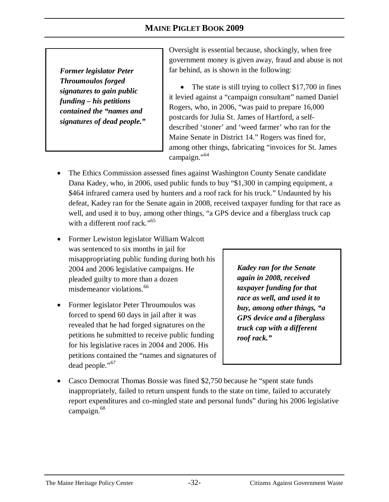*Former legislator Peter Throumoulos forged signatures to gain public funding – his petitions contained the "names and signatures of dead people."* Oversight is essential because, shockingly, when free government money is given away, fraud and abuse is not far behind, as is shown in the following:

The state is still trying to collect \$17,700 in fines it levied against a "campaign consultant" named Daniel Rogers, who, in 2006, "was paid to prepare 16,000 postcards for Julia St. James of Hartford, a selfdescribed 'stoner' and 'weed farmer' who ran for the Maine Senate in District 14." Rogers was fined for, among other things, fabricating "invoices for St. James campaign."<sup>64</sup>

- The Ethics Commission assessed fines against Washington County Senate candidate Dana Kadey, who, in 2006, used public funds to buy "\$1,300 in camping equipment, a \$464 infrared camera used by hunters and a roof rack for his truck*.*" Undaunted by his defeat, Kadey ran for the Senate again in 2008, received taxpayer funding for that race as well, and used it to buy, among other things, "a GPS device and a fiberglass truck cap with a different roof rack*.*" 65
- Former Lewiston legislator William Walcott was sentenced to six months in jail for misappropriating public funding during both his 2004 and 2006 legislative campaigns. He pleaded guilty to more than a dozen misdemeanor violations.<sup>66</sup>
- Former legislator Peter Throumoulos was forced to spend 60 days in jail after it was revealed that he had forged signatures on the petitions he submitted to receive public funding for his legislative races in 2004 and 2006. His petitions contained the "names and signatures of dead people."<sup>67</sup>

*Kadey ran for the Senate again in 2008, received taxpayer funding for that race as well, and used it to buy, among other things, "a GPS device and a fiberglass truck cap with a different roof rack."*

• Casco Democrat Thomas Bossie was fined \$2,750 because he "spent state funds" inappropriately, failed to return unspent funds to the state on time, failed to accurately report expenditures and co-mingled state and personal funds" during his 2006 legislative campaign.<sup>68</sup>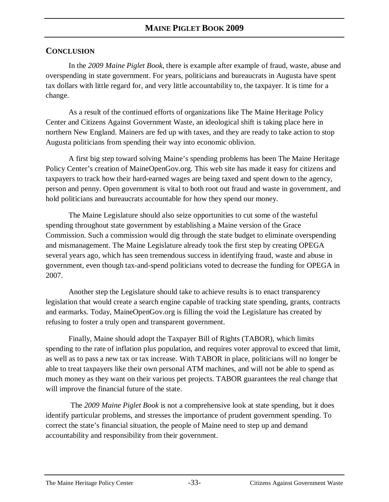#### **CONCLUSION**

In the *2009 Maine Piglet Book*, there is example after example of fraud, waste, abuse and overspending in state government. For years, politicians and bureaucrats in Augusta have spent tax dollars with little regard for, and very little accountability to, the taxpayer. It is time for a change.

As a result of the continued efforts of organizations like The Maine Heritage Policy Center and Citizens Against Government Waste, an ideological shift is taking place here in northern New England. Mainers are fed up with taxes, and they are ready to take action to stop Augusta politicians from spending their way into economic oblivion.

A first big step toward solving Maine's spending problems has been The Maine Heritage Policy Center's creation of MaineOpenGov.org. This web site has made it easy for citizens and taxpayers to track how their hard-earned wages are being taxed and spent down to the agency, person and penny. Open government is vital to both root out fraud and waste in government, and hold politicians and bureaucrats accountable for how they spend our money.

The Maine Legislature should also seize opportunities to cut some of the wasteful spending throughout state government by establishing a Maine version of the Grace Commission. Such a commission would dig through the state budget to eliminate overspending and mismanagement. The Maine Legislature already took the first step by creating OPEGA several years ago, which has seen tremendous success in identifying fraud, waste and abuse in government, even though tax-and-spend politicians voted to decrease the funding for OPEGA in 2007.

Another step the Legislature should take to achieve results is to enact transparency legislation that would create a search engine capable of tracking state spending, grants, contracts and earmarks. Today, MaineOpenGov.org is filling the void the Legislature has created by refusing to foster a truly open and transparent government.

Finally, Maine should adopt the Taxpayer Bill of Rights (TABOR), which limits spending to the rate of inflation plus population, and requires voter approval to exceed that limit, as well as to pass a new tax or tax increase. With TABOR in place, politicians will no longer be able to treat taxpayers like their own personal ATM machines, and will not be able to spend as much money as they want on their various pet projects. TABOR guarantees the real change that will improve the financial future of the state.

 The *2009 Maine Piglet Book* is not a comprehensive look at state spending, but it does identify particular problems, and stresses the importance of prudent government spending. To correct the state's financial situation, the people of Maine need to step up and demand accountability and responsibility from their government.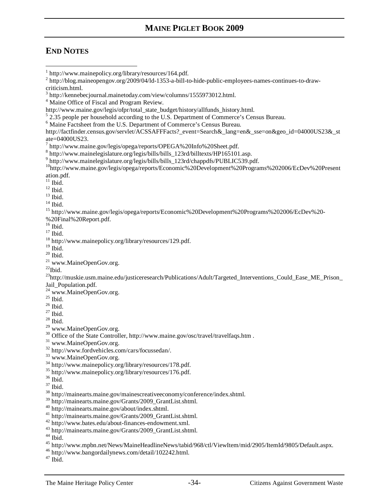### **END NOTES**

-

<sup>5</sup> 2.35 people per household according to the U.S. Department of Commerce's Census Bureau.

http://factfinder.census.gov/servlet/ACSSAFFFacts?\_event=Search&\_lang=en&\_sse=on&geo\_id=04000US23&\_st ate=04000US23.

- %20Final%20Report.pdf.
- <sup>16</sup> Ibid.

 $17$  Ibid.

<sup>21</sup> www.MaineOpenGov.org.

 $^{22}$ Ibid.

<sup>23</sup>http://muskie.usm.maine.edu/justiceresearch/Publications/Adult/Targeted Interventions Could Ease ME Prison

Jail\_Population.pdf.

- <sup>24</sup> www.MaineOpenGov.org.
- $^{25}$  Ibid.
- $26$  Ibid.

 $^{27}$  Ibid.

 $28$  Ibid.

- <sup>29</sup> www.MaineOpenGov.org.
- <sup>30</sup> Office of the State Controller, http://www.maine.gov/osc/travel/travelfaqs.htm .

<sup>31</sup> www.MaineOpenGov.org.

- <sup>32</sup> http://www.fordvehicles.com/cars/focussedan/.
- <sup>33</sup> www.MaineOpenGov.org.
- <sup>34</sup> http://www.mainepolicy.org/library/resources/178.pdf.
- <sup>35</sup> http://www.mainepolicy.org/library/resources/176.pdf.
- $^{36}$  Ibid.
- <sup>37</sup> Ibid.

- <sup>39</sup> http://mainearts.maine.gov/Grants/2009\_GrantList.shtml.
- <sup>40</sup> http://mainearts.maine.gov/about/index.shtml.
- <sup>41</sup> http://mainearts.maine.gov/Grants/2009\_GrantList.shtml.
- <sup>42</sup> http://www.bates.edu/about-finances-endowment.xml.
- <sup>43</sup> http://mainearts.maine.gov/Grants/2009\_GrantList.shtml.
- <sup>44</sup> Ibid.

<sup>46</sup> http://www.bangordailynews.com/detail/102242.html.

<sup>1</sup> http://www.mainepolicy.org/library/resources/164.pdf.

<sup>&</sup>lt;sup>2</sup> http://blog.maineopengov.org/2009/04/ld-1353-a-bill-to-hide-public-employees-names-continues-to-drawcriticism.html.

<sup>&</sup>lt;sup>3</sup> http://kennebecjournal.mainetoday.com/view/columns/1555973012.html.

<sup>&</sup>lt;sup>4</sup> Maine Office of Fiscal and Program Review.

http://www.maine.gov/legis/ofpr/total\_state\_budget/history/allfunds\_history.html.

<sup>6</sup> Maine Factsheet from the U.S. Department of Commerce's Census Bureau.

<sup>&</sup>lt;sup>7</sup> http://www.maine.gov/legis/opega/reports/OPEGA%20Info%20Sheet.pdf.

<sup>8</sup> http://www.mainelegislature.org/legis/bills/bills\_123rd/billtexts/HP165101.asp.

<sup>9</sup> http://www.mainelegislature.org/legis/bills/bills\_123rd/chappdfs/PUBLIC539.pdf.

<sup>10</sup>http://www.maine.gov/legis/opega/reports/Economic%20Development%20Programs%202006/EcDev%20Present ation.pdf.

 $11$  Ibid.

 $^{12}$  Ibid.  $\,$ 

 $13$  Ibid.

 $14$  Ibid.

<sup>15</sup> http://www.maine.gov/legis/opega/reports/Economic%20Development%20Programs%202006/EcDev%20-

<sup>18</sup> http://www.mainepolicy.org/library/resources/129.pdf.

 $19$  Ibid.

 $20$  Ibid.

<sup>38</sup> http://mainearts.maine.gov/mainescreativeeconomy/conference/index.shtml.

<sup>45</sup> http://www.mpbn.net/News/MaineHeadlineNews/tabid/968/ctl/ViewItem/mid/2905/ItemId/9805/Default.aspx.

<sup>47</sup> Ibid.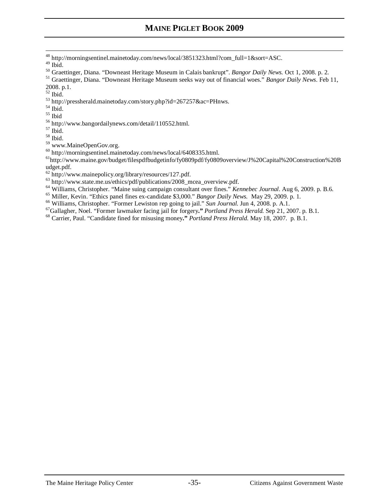- http://morningsentinel.mainetoday.com/news/local/3851323.html?com\_full=1&sort=ASC.
- Ibid.

 $\overline{a}$ 

- Graettinger, Diana. "Downeast Heritage Museum in Calais bankrupt". *Bangor Daily News.* Oct 1, 2008. p. 2.
- Graettinger, Diana. "Downeast Heritage Museum seeks way out of financial woes." *Bangor Daily News*. Feb 11, 2008. p.1.
- Ibid.
- http://pressherald.mainetoday.com/story.php?id=267257&ac=PHnws.
- $^{\rm 54}$  Ibid.
- Ibid
- http://www.bangordailynews.com/detail/110552.html.
- Ibid.
- Ibid.
- www.MaineOpenGov.org.
- http://morningsentinel.mainetoday.com/news/local/6408335.html.

http://www.maine.gov/budget/filespdfbudgetinfo/fy0809pdf/fy0809overview/J%20Capital%20Construction%20B udget.pdf.

- <sup>62</sup> http://www.mainepolicy.org/library/resources/127.pdf.
- $^{63}$  http://www.state.me.us/ethics/pdf/publications/2008\_mcea\_overview.pdf.
- Williams, Christopher. "Maine suing campaign consultant over fines." *Kennebec Journal*. Aug 6, 2009. p. B.6.
- Miller, Kevin. "Ethics panel fines ex-candidate \$3,000." *Bangor Daily News.* May 29, 2009. p. 1.
- Williams, Christopher. "Former Lewiston rep going to jail." *Sun Journal.* Jun 4, 2008. p. A.1.
- Gallagher, Noel. "Former lawmaker facing jail for forgery**."** *Portland Press Herald.* Sep 21, 2007. p. B.1.
- Carrier, Paul. "Candidate fined for misusing money**."** *Portland Press Herald.* May 18, 2007. p. B.1.